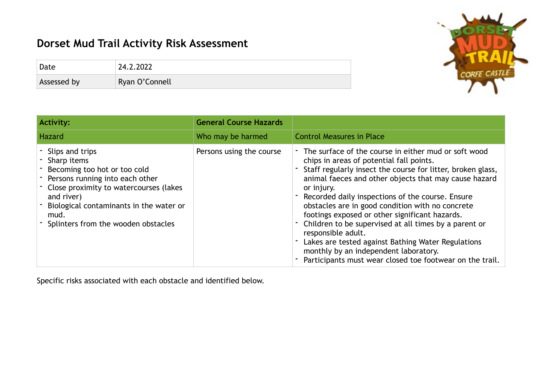## **Dorset Mud Trail Activity Risk Assessment**

| Date        | 24.2.2022      |
|-------------|----------------|
| Assessed by | Ryan O'Connell |



Specific risks associated with each obstacle and identified below.

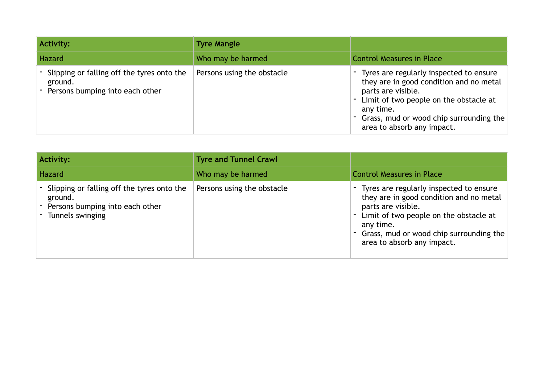| Activity:                                                                                | <b>Tyre Mangle</b>         |                                                                                                                                                                                                                                            |
|------------------------------------------------------------------------------------------|----------------------------|--------------------------------------------------------------------------------------------------------------------------------------------------------------------------------------------------------------------------------------------|
| Hazard                                                                                   | Who may be harmed          | <b>Control Measures in Place</b>                                                                                                                                                                                                           |
| Slipping or falling off the tyres onto the<br>ground.<br>Persons bumping into each other | Persons using the obstacle | - Tyres are regularly inspected to ensure<br>they are in good condition and no metal<br>parts are visible.<br>Limit of two people on the obstacle at<br>any time.<br>Grass, mud or wood chip surrounding the<br>area to absorb any impact. |

| <b>Activity:</b>                                                                                                 | <b>Tyre and Tunnel Crawl</b> |                                                                                                                                                                                                                                                  |
|------------------------------------------------------------------------------------------------------------------|------------------------------|--------------------------------------------------------------------------------------------------------------------------------------------------------------------------------------------------------------------------------------------------|
| Hazard                                                                                                           | Who may be harmed            | <b>Control Measures in Place</b>                                                                                                                                                                                                                 |
| - Slipping or falling off the tyres onto the<br>ground.<br>Persons bumping into each other<br>- Tunnels swinging | Persons using the obstacle   | - Tyres are regularly inspected to ensure<br>they are in good condition and no metal<br>parts are visible.<br>Limit of two people on the obstacle at<br>any time.<br>Grass, mud or wood chip surrounding the<br>۰.<br>area to absorb any impact. |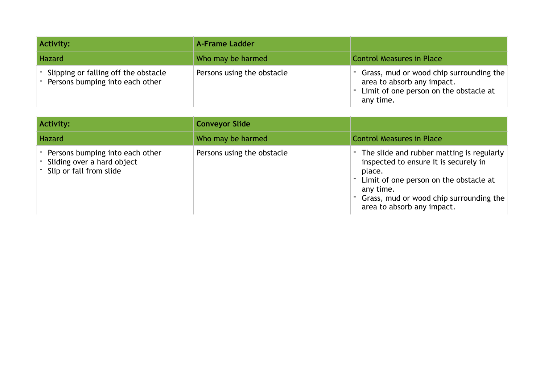| Activity:                                                                   | <b>A-Frame Ladder</b>      |                                                                                                                                  |
|-----------------------------------------------------------------------------|----------------------------|----------------------------------------------------------------------------------------------------------------------------------|
| Hazard                                                                      | Who may be harmed          | <b>Control Measures in Place</b>                                                                                                 |
| - Slipping or falling off the obstacle<br>- Persons bumping into each other | Persons using the obstacle | - Grass, mud or wood chip surrounding the<br>area to absorb any impact.<br>- Limit of one person on the obstacle at<br>any time. |

| Activity:                                                                                    | <b>Conveyor Slide</b>      |                                                                                                                                                                                                                              |
|----------------------------------------------------------------------------------------------|----------------------------|------------------------------------------------------------------------------------------------------------------------------------------------------------------------------------------------------------------------------|
| Hazard                                                                                       | Who may be harmed          | <b>Control Measures in Place</b>                                                                                                                                                                                             |
| Persons bumping into each other<br>- Sliding over a hard object<br>- Slip or fall from slide | Persons using the obstacle | The slide and rubber matting is regularly<br>inspected to ensure it is securely in<br>place.<br>Limit of one person on the obstacle at<br>any time.<br>Grass, mud or wood chip surrounding the<br>area to absorb any impact. |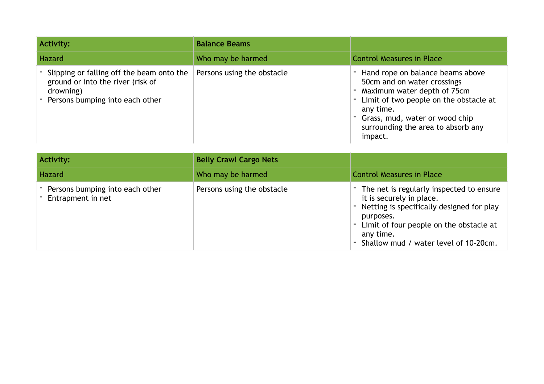| <b>Activity:</b>                                                                                                               | <b>Balance Beams</b>       |                                                                                                                                                                                                                                              |
|--------------------------------------------------------------------------------------------------------------------------------|----------------------------|----------------------------------------------------------------------------------------------------------------------------------------------------------------------------------------------------------------------------------------------|
| <b>Hazard</b>                                                                                                                  | Who may be harmed          | <b>Control Measures in Place</b>                                                                                                                                                                                                             |
| Slipping or falling off the beam onto the<br>ground or into the river (risk of<br>drowning)<br>Persons bumping into each other | Persons using the obstacle | Hand rope on balance beams above<br>50cm and on water crossings<br>Maximum water depth of 75cm<br>- Limit of two people on the obstacle at<br>any time.<br>- Grass, mud, water or wood chip<br>surrounding the area to absorb any<br>impact. |

| <b>Activity:</b>                                     | <b>Belly Crawl Cargo Nets</b> |                                                                                                                                                                                                                                     |
|------------------------------------------------------|-------------------------------|-------------------------------------------------------------------------------------------------------------------------------------------------------------------------------------------------------------------------------------|
| Hazard                                               | Who may be harmed             | <b>Control Measures in Place</b>                                                                                                                                                                                                    |
| Persons bumping into each other<br>Entrapment in net | Persons using the obstacle    | - The net is regularly inspected to ensure<br>it is securely in place.<br>Netting is specifically designed for play<br>purposes.<br>Limit of four people on the obstacle at<br>any time.<br>- Shallow mud / water level of 10-20cm. |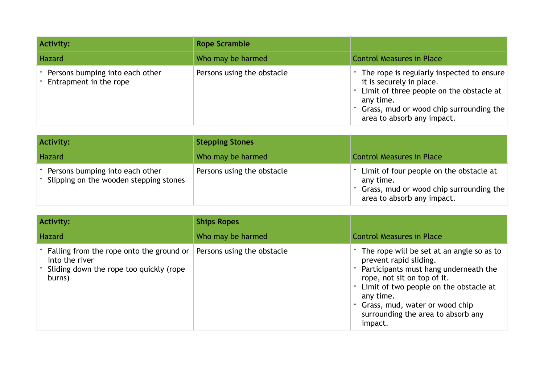| <b>Activity:</b>                                              | <b>Rope Scramble</b>       |                                                                                                                                                                                                           |
|---------------------------------------------------------------|----------------------------|-----------------------------------------------------------------------------------------------------------------------------------------------------------------------------------------------------------|
| Hazard                                                        | Who may be harmed          | <b>Control Measures in Place</b>                                                                                                                                                                          |
| - Persons bumping into each other<br>- Entrapment in the rope | Persons using the obstacle | - The rope is regularly inspected to ensure<br>it is securely in place.<br>Limit of three people on the obstacle at<br>any time.<br>Grass, mud or wood chip surrounding the<br>area to absorb any impact. |

| Activity:                                                                     | <b>Stepping Stones</b>     |                                                                                                                                   |
|-------------------------------------------------------------------------------|----------------------------|-----------------------------------------------------------------------------------------------------------------------------------|
| Hazard                                                                        | Who may be harmed          | <b>Control Measures in Place</b>                                                                                                  |
| - Persons bumping into each other<br>- Slipping on the wooden stepping stones | Persons using the obstacle | - Limit of four people on the obstacle at<br>any time.<br>- Grass, mud or wood chip surrounding the<br>area to absorb any impact. |

| Activity:                                                                                                           | <b>Ships Ropes</b>         |                                                                                                                                                                                                                                                                                       |
|---------------------------------------------------------------------------------------------------------------------|----------------------------|---------------------------------------------------------------------------------------------------------------------------------------------------------------------------------------------------------------------------------------------------------------------------------------|
| Hazard                                                                                                              | Who may be harmed          | <b>Control Measures in Place</b>                                                                                                                                                                                                                                                      |
| - Falling from the rope onto the ground or<br>into the river<br>- Sliding down the rope too quickly (rope<br>burns) | Persons using the obstacle | The rope will be set at an angle so as to<br>prevent rapid sliding.<br>Participants must hang underneath the<br>rope, not sit on top of it.<br>Limit of two people on the obstacle at<br>any time.<br>Grass, mud, water or wood chip<br>surrounding the area to absorb any<br>impact. |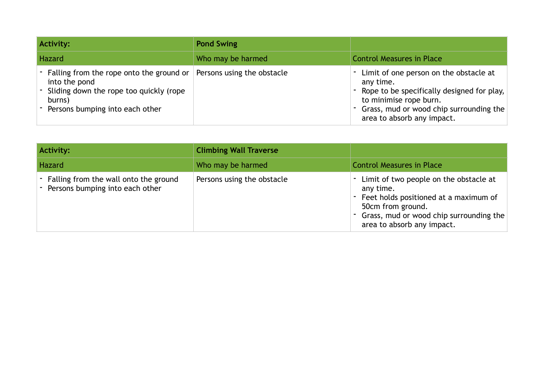| <b>Activity:</b>                                                                                                                                        | <b>Pond Swing</b>          |                                                                                                                                                                                                        |
|---------------------------------------------------------------------------------------------------------------------------------------------------------|----------------------------|--------------------------------------------------------------------------------------------------------------------------------------------------------------------------------------------------------|
| Hazard                                                                                                                                                  | Who may be harmed          | <b>Control Measures in Place</b>                                                                                                                                                                       |
| - Falling from the rope onto the ground or<br>into the pond<br>- Sliding down the rope too quickly (rope<br>burns)<br>- Persons bumping into each other | Persons using the obstacle | Limit of one person on the obstacle at<br>any time.<br>Rope to be specifically designed for play,<br>to minimise rope burn.<br>- Grass, mud or wood chip surrounding the<br>area to absorb any impact. |

| Activity:                                                                    | <b>Climbing Wall Traverse</b> |                                                                                                                                                                                              |
|------------------------------------------------------------------------------|-------------------------------|----------------------------------------------------------------------------------------------------------------------------------------------------------------------------------------------|
| Hazard                                                                       | Who may be harmed             | <b>Control Measures in Place</b>                                                                                                                                                             |
| - Falling from the wall onto the ground<br>- Persons bumping into each other | Persons using the obstacle    | Limit of two people on the obstacle at<br>any time.<br>Feet holds positioned at a maximum of<br>50cm from ground.<br>- Grass, mud or wood chip surrounding the<br>area to absorb any impact. |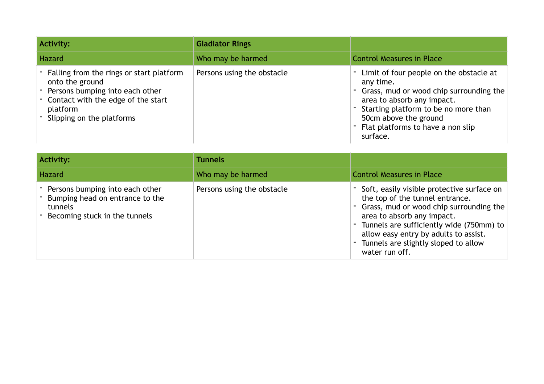| <b>Activity:</b>                                                                                                                                                                  | <b>Gladiator Rings</b>     |                                                                                                                                                                                                                                                   |
|-----------------------------------------------------------------------------------------------------------------------------------------------------------------------------------|----------------------------|---------------------------------------------------------------------------------------------------------------------------------------------------------------------------------------------------------------------------------------------------|
| Hazard                                                                                                                                                                            | Who may be harmed          | <b>Control Measures in Place</b>                                                                                                                                                                                                                  |
| - Falling from the rings or start platform<br>onto the ground<br>Persons bumping into each other<br>- Contact with the edge of the start<br>platform<br>Slipping on the platforms | Persons using the obstacle | Limit of four people on the obstacle at<br>any time.<br>- Grass, mud or wood chip surrounding the<br>area to absorb any impact.<br>Starting platform to be no more than<br>50cm above the ground<br>Flat platforms to have a non slip<br>surface. |

| Activity:                                                                                                      | <b>Tunnels</b>             |                                                                                                                                                                                                                                                                                                               |
|----------------------------------------------------------------------------------------------------------------|----------------------------|---------------------------------------------------------------------------------------------------------------------------------------------------------------------------------------------------------------------------------------------------------------------------------------------------------------|
| Hazard                                                                                                         | Who may be harmed          | <b>Control Measures in Place</b>                                                                                                                                                                                                                                                                              |
| Persons bumping into each other<br>Bumping head on entrance to the<br>tunnels<br>Becoming stuck in the tunnels | Persons using the obstacle | - Soft, easily visible protective surface on<br>the top of the tunnel entrance.<br>- Grass, mud or wood chip surrounding the<br>area to absorb any impact.<br>- Tunnels are sufficiently wide (750mm) to<br>allow easy entry by adults to assist.<br>- Tunnels are slightly sloped to allow<br>water run off. |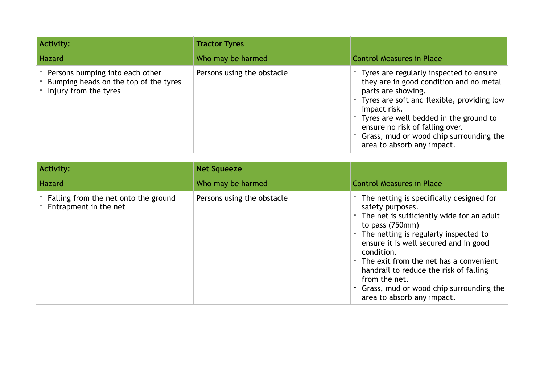| <b>Activity:</b>                                                                                    | <b>Tractor Tyres</b>       |                                                                                                                                                                                                                                                                                                                                      |
|-----------------------------------------------------------------------------------------------------|----------------------------|--------------------------------------------------------------------------------------------------------------------------------------------------------------------------------------------------------------------------------------------------------------------------------------------------------------------------------------|
| Hazard                                                                                              | Who may be harmed          | <b>Control Measures in Place</b>                                                                                                                                                                                                                                                                                                     |
| - Persons bumping into each other<br>Bumping heads on the top of the tyres<br>Injury from the tyres | Persons using the obstacle | - Tyres are regularly inspected to ensure<br>they are in good condition and no metal<br>parts are showing.<br>Tyres are soft and flexible, providing low<br>۰.<br>impact risk.<br>Tyres are well bedded in the ground to<br>ensure no risk of falling over.<br>Grass, mud or wood chip surrounding the<br>area to absorb any impact. |

| <b>Activity:</b>                                                | <b>Net Squeeze</b>         |                                                                                                                                                                                                                                                                                                                                                                                                                         |
|-----------------------------------------------------------------|----------------------------|-------------------------------------------------------------------------------------------------------------------------------------------------------------------------------------------------------------------------------------------------------------------------------------------------------------------------------------------------------------------------------------------------------------------------|
| Hazard                                                          | Who may be harmed          | <b>Control Measures in Place</b>                                                                                                                                                                                                                                                                                                                                                                                        |
| - Falling from the net onto the ground<br>Entrapment in the net | Persons using the obstacle | - The netting is specifically designed for<br>safety purposes.<br>The net is sufficiently wide for an adult<br>٠<br>to pass $(750mm)$<br>- The netting is regularly inspected to<br>ensure it is well secured and in good<br>condition.<br>The exit from the net has a convenient<br>handrail to reduce the risk of falling<br>from the net.<br>- Grass, mud or wood chip surrounding the<br>area to absorb any impact. |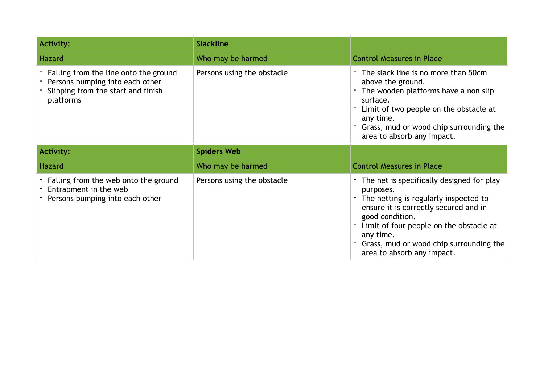| <b>Activity:</b>                                                                                                            | <b>Slackline</b>           |                                                                                                                                                                                                                                                                                                  |
|-----------------------------------------------------------------------------------------------------------------------------|----------------------------|--------------------------------------------------------------------------------------------------------------------------------------------------------------------------------------------------------------------------------------------------------------------------------------------------|
| <b>Hazard</b>                                                                                                               | Who may be harmed          | <b>Control Measures in Place</b>                                                                                                                                                                                                                                                                 |
| Falling from the line onto the ground<br>Persons bumping into each other<br>Slipping from the start and finish<br>platforms | Persons using the obstacle | - The slack line is no more than 50cm<br>above the ground.<br>The wooden platforms have a non slip<br>surface.<br>Limit of two people on the obstacle at<br>any time.<br>Grass, mud or wood chip surrounding the<br>area to absorb any impact.                                                   |
| <b>Activity:</b>                                                                                                            | <b>Spiders Web</b>         |                                                                                                                                                                                                                                                                                                  |
| <b>Hazard</b>                                                                                                               | Who may be harmed          | <b>Control Measures in Place</b>                                                                                                                                                                                                                                                                 |
| Falling from the web onto the ground<br>Entrapment in the web<br>Persons bumping into each other                            | Persons using the obstacle | - The net is specifically designed for play<br>purposes.<br>- The netting is regularly inspected to<br>ensure it is correctly secured and in<br>good condition.<br>Limit of four people on the obstacle at<br>any time.<br>Grass, mud or wood chip surrounding the<br>area to absorb any impact. |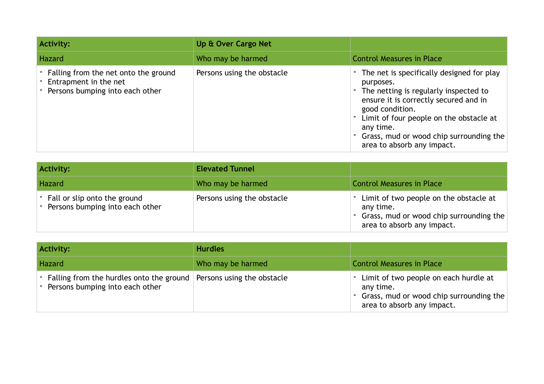| <b>Activity:</b>                                                                                     | Up & Over Cargo Net        |                                                                                                                                                                                                                                                                                                  |
|------------------------------------------------------------------------------------------------------|----------------------------|--------------------------------------------------------------------------------------------------------------------------------------------------------------------------------------------------------------------------------------------------------------------------------------------------|
| Hazard                                                                                               | Who may be harmed          | <b>Control Measures in Place</b>                                                                                                                                                                                                                                                                 |
| - Falling from the net onto the ground<br>Entrapment in the net<br>- Persons bumping into each other | Persons using the obstacle | - The net is specifically designed for play<br>purposes.<br>The netting is regularly inspected to<br>ensure it is correctly secured and in<br>good condition.<br>Limit of four people on the obstacle at<br>any time.<br>- Grass, mud or wood chip surrounding the<br>area to absorb any impact. |

| Activity:                                                           | <b>Elevated Tunnel</b>     |                                                                                                                                  |
|---------------------------------------------------------------------|----------------------------|----------------------------------------------------------------------------------------------------------------------------------|
| Hazard                                                              | Who may be harmed          | <b>Control Measures in Place</b>                                                                                                 |
| - Fall or slip onto the ground<br>- Persons bumping into each other | Persons using the obstacle | - Limit of two people on the obstacle at<br>any time.<br>- Grass, mud or wood chip surrounding the<br>area to absorb any impact. |

| Activity:                                                                       | <b>Hurdles</b>             |                                                                                                                                 |
|---------------------------------------------------------------------------------|----------------------------|---------------------------------------------------------------------------------------------------------------------------------|
| Hazard                                                                          | Who may be harmed          | <b>Control Measures in Place</b>                                                                                                |
| - Falling from the hurdles onto the ground<br>- Persons bumping into each other | Persons using the obstacle | - Limit of two people on each hurdle at<br>any time.<br>- Grass, mud or wood chip surrounding the<br>area to absorb any impact. |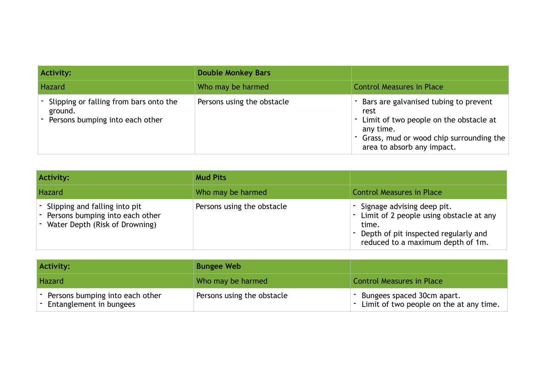| <b>Activity:</b>                                                                     | <b>Double Monkey Bars</b>  |                                                                                                                                                                                     |
|--------------------------------------------------------------------------------------|----------------------------|-------------------------------------------------------------------------------------------------------------------------------------------------------------------------------------|
| Hazard                                                                               | Who may be harmed          | <b>Control Measures in Place</b>                                                                                                                                                    |
| Slipping or falling from bars onto the<br>ground.<br>Persons bumping into each other | Persons using the obstacle | - Bars are galvanised tubing to prevent<br>rest<br>- Limit of two people on the obstacle at<br>any time.<br>- Grass, mud or wood chip surrounding the<br>area to absorb any impact. |

| <b>Activity:</b>                                                                                         | <b>Mud Pits</b>            |                                                                                                                                                               |
|----------------------------------------------------------------------------------------------------------|----------------------------|---------------------------------------------------------------------------------------------------------------------------------------------------------------|
| Hazard                                                                                                   | Who may be harmed          | <b>Control Measures in Place</b>                                                                                                                              |
| - Slipping and falling into pit<br>- Persons bumping into each other<br>- Water Depth (Risk of Drowning) | Persons using the obstacle | - Signage advising deep pit.<br>Limit of 2 people using obstacle at any<br>time.<br>Depth of pit inspected regularly and<br>reduced to a maximum depth of 1m. |

| <b>Activity:</b>                                               | <b>Bungee Web</b>          |                                                                           |
|----------------------------------------------------------------|----------------------------|---------------------------------------------------------------------------|
| <b>Hazard</b>                                                  | Who may be harmed          | <b>Control Measures in Place</b>                                          |
| - Persons bumping into each other<br>- Entanglement in bungees | Persons using the obstacle | - Bungees spaced 30cm apart.<br>- Limit of two people on the at any time. |